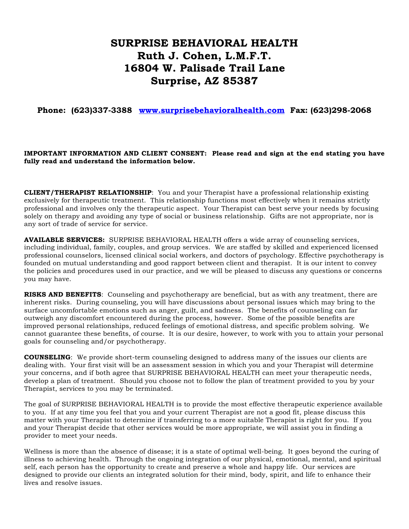## **SURPRISE BEHAVIORAL HEALTH Ruth J. Cohen, L.M.F.T. 16804 W. Palisade Trail Lane Surprise, AZ 85387**

**Phone: (623)337-3388 www.surprisebehavioralhealth.com Fax: (623)298-2068**

## **IMPORTANT INFORMATION AND CLIENT CONSENT: Please read and sign at the end stating you have fully read and understand the information below.**

**CLIENT/THERAPIST RELATIONSHIP**: You and your Therapist have a professional relationship existing exclusively for therapeutic treatment. This relationship functions most effectively when it remains strictly professional and involves only the therapeutic aspect. Your Therapist can best serve your needs by focusing solely on therapy and avoiding any type of social or business relationship. Gifts are not appropriate, nor is any sort of trade of service for service.

**AVAILABLE SERVICES:** SURPRISE BEHAVIORAL HEALTH offers a wide array of counseling services, including individual, family, couples, and group services. We are staffed by skilled and experienced licensed professional counselors, licensed clinical social workers, and doctors of psychology. Effective psychotherapy is founded on mutual understanding and good rapport between client and therapist. It is our intent to convey the policies and procedures used in our practice, and we will be pleased to discuss any questions or concerns you may have.

**RISKS AND BENEFITS**: Counseling and psychotherapy are beneficial, but as with any treatment, there are inherent risks. During counseling, you will have discussions about personal issues which may bring to the surface uncomfortable emotions such as anger, guilt, and sadness. The benefits of counseling can far outweigh any discomfort encountered during the process, however. Some of the possible benefits are improved personal relationships, reduced feelings of emotional distress, and specific problem solving. We cannot guarantee these benefits, of course. It is our desire, however, to work with you to attain your personal goals for counseling and/or psychotherapy.

**COUNSELING**: We provide short-term counseling designed to address many of the issues our clients are dealing with. Your first visit will be an assessment session in which you and your Therapist will determine your concerns, and if both agree that SURPRISE BEHAVIORAL HEALTH can meet your therapeutic needs, develop a plan of treatment. Should you choose not to follow the plan of treatment provided to you by your Therapist, services to you may be terminated.

The goal of SURPRISE BEHAVIORAL HEALTH is to provide the most effective therapeutic experience available to you. If at any time you feel that you and your current Therapist are not a good fit, please discuss this matter with your Therapist to determine if transferring to a more suitable Therapist is right for you. If you and your Therapist decide that other services would be more appropriate, we will assist you in finding a provider to meet your needs.

Wellness is more than the absence of disease; it is a state of optimal well-being. It goes beyond the curing of illness to achieving health. Through the ongoing integration of our physical, emotional, mental, and spiritual self, each person has the opportunity to create and preserve a whole and happy life. Our services are designed to provide our clients an integrated solution for their mind, body, spirit, and life to enhance their lives and resolve issues.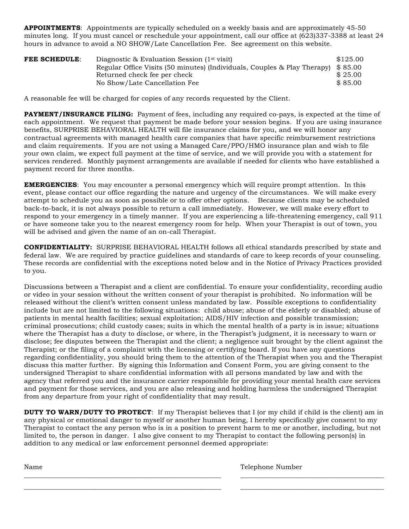**APPOINTMENTS**: Appointments are typically scheduled on a weekly basis and are approximately 45-50 minutes long. If you must cancel or reschedule your appointment, call our office at (623)337-3388 at least 24 hours in advance to avoid a NO SHOW/Late Cancellation Fee. See agreement on this website.

| <b>FEE SCHEDULE:</b> | Diagnostic & Evaluation Session $(1st visit)$                                    | \$125.00 |
|----------------------|----------------------------------------------------------------------------------|----------|
|                      | Regular Office Visits (50 minutes) (Individuals, Couples & Play Therapy) \$85.00 |          |
|                      | Returned check fee per check                                                     | \$25.00  |
|                      | No Show/Late Cancellation Fee                                                    | \$85.00  |

A reasonable fee will be charged for copies of any records requested by the Client.

**PAYMENT/INSURANCE FILING:** Payment of fees, including any required co-pays, is expected at the time of each appointment. We request that payment be made before your session begins. If you are using insurance benefits, SURPRISE BEHAVIORAL HEALTH will file insurance claims for you, and we will honor any contractual agreements with managed health care companies that have specific reimbursement restrictions and claim requirements. If you are not using a Managed Care/PPO/HMO insurance plan and wish to file your own claim, we expect full payment at the time of service, and we will provide you with a statement for services rendered. Monthly payment arrangements are available if needed for clients who have established a payment record for three months.

**EMERGENCIES**: You may encounter a personal emergency which will require prompt attention. In this event, please contact our office regarding the nature and urgency of the circumstances. We will make every attempt to schedule you as soon as possible or to offer other options. Because clients may be scheduled back-to-back, it is not always possible to return a call immediately. However, we will make every effort to respond to your emergency in a timely manner. If you are experiencing a life-threatening emergency, call 911 or have someone take you to the nearest emergency room for help. When your Therapist is out of town, you will be advised and given the name of an on-call Therapist.

**CONFIDENTIALITY:** SURPRISE BEHAVIORAL HEALTH follows all ethical standards prescribed by state and federal law. We are required by practice guidelines and standards of care to keep records of your counseling. These records are confidential with the exceptions noted below and in the Notice of Privacy Practices provided to you.

Discussions between a Therapist and a client are confidential. To ensure your confidentiality, recording audio or video in your session without the written consent of your therapist is prohibited. No information will be released without the client's written consent unless mandated by law. Possible exceptions to confidentiality include but are not limited to the following situations: child abuse; abuse of the elderly or disabled; abuse of patients in mental health facilities; sexual exploitation; AIDS/HIV infection and possible transmission; criminal prosecutions; child custody cases; suits in which the mental health of a party is in issue; situations where the Therapist has a duty to disclose, or where, in the Therapist's judgment, it is necessary to warn or disclose; fee disputes between the Therapist and the client; a negligence suit brought by the client against the Therapist; or the filing of a complaint with the licensing or certifying board. If you have any questions regarding confidentiality, you should bring them to the attention of the Therapist when you and the Therapist discuss this matter further. By signing this Information and Consent Form, you are giving consent to the undersigned Therapist to share confidential information with all persons mandated by law and with the agency that referred you and the insurance carrier responsible for providing your mental health care services and payment for those services, and you are also releasing and holding harmless the undersigned Therapist from any departure from your right of confidentiality that may result.

**DUTY TO WARN/DUTY TO PROTECT:** If my Therapist believes that I (or my child if child is the client) am in any physical or emotional danger to myself or another human being, I hereby specifically give consent to my Therapist to contact the any person who is in a position to prevent harm to me or another, including, but not limited to, the person in danger. I also give consent to my Therapist to contact the following person(s) in addition to any medical or law enforcement personnel deemed appropriate:

\_\_\_\_\_\_\_\_\_\_\_\_\_\_\_\_\_\_\_\_\_\_\_\_\_\_\_\_\_\_\_\_\_\_\_\_\_\_\_\_\_\_\_\_\_\_\_\_\_\_\_\_\_\_\_\_\_\_\_ \_\_\_\_\_\_\_\_\_\_\_\_\_\_\_\_\_\_\_\_\_\_\_\_\_\_\_\_\_\_\_\_\_\_\_\_\_\_\_\_\_\_\_ \_\_\_\_\_\_\_\_\_\_\_\_\_\_\_\_\_\_\_\_\_\_\_\_\_\_\_\_\_\_\_\_\_\_\_\_\_\_\_\_\_\_\_\_\_\_\_\_\_\_\_\_\_\_\_\_\_\_\_ \_\_\_\_\_\_\_\_\_\_\_\_\_\_\_\_\_\_\_\_\_\_\_\_\_\_\_\_\_\_\_\_\_\_\_\_\_\_\_\_\_\_\_

Name Telephone Number